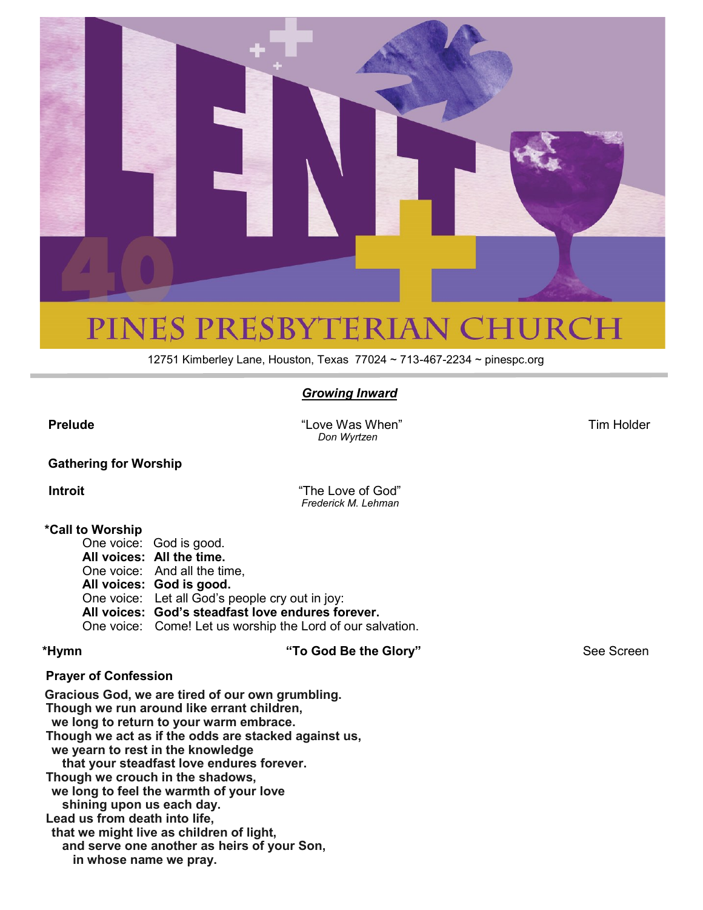

## PINES PRESBYTERIAN CHURCH

12751 Kimberley Lane, Houston, Texas 77024 ~ 713-467-2234 ~ pinespc.org

#### *Growing Inward*

**Prelude** Tim Holder **Prelude** Tim Holder  *Don Wyrtzen*

#### **Gathering for Worship**

**Introit COMPANY Introit Introit Introit Introit** *Frederick M. Lehman*

#### **\*Call to Worship**

One voice: God is good. **All voices: All the time.**  One voice: And all the time, **All voices: God is good.**  One voice: Let all God's people cry out in joy: **All voices: God's steadfast love endures forever.**  One voice: Come! Let us worship the Lord of our salvation.

**\*Hymn "To God Be the Glory"** See Screen

#### **Prayer of Confession**

**Gracious God, we are tired of our own grumbling. Though we run around like errant children, we long to return to your warm embrace. Though we act as if the odds are stacked against us, we yearn to rest in the knowledge that your steadfast love endures forever. Though we crouch in the shadows, we long to feel the warmth of your love shining upon us each day. Lead us from death into life, that we might live as children of light, and serve one another as heirs of your Son, in whose name we pray.**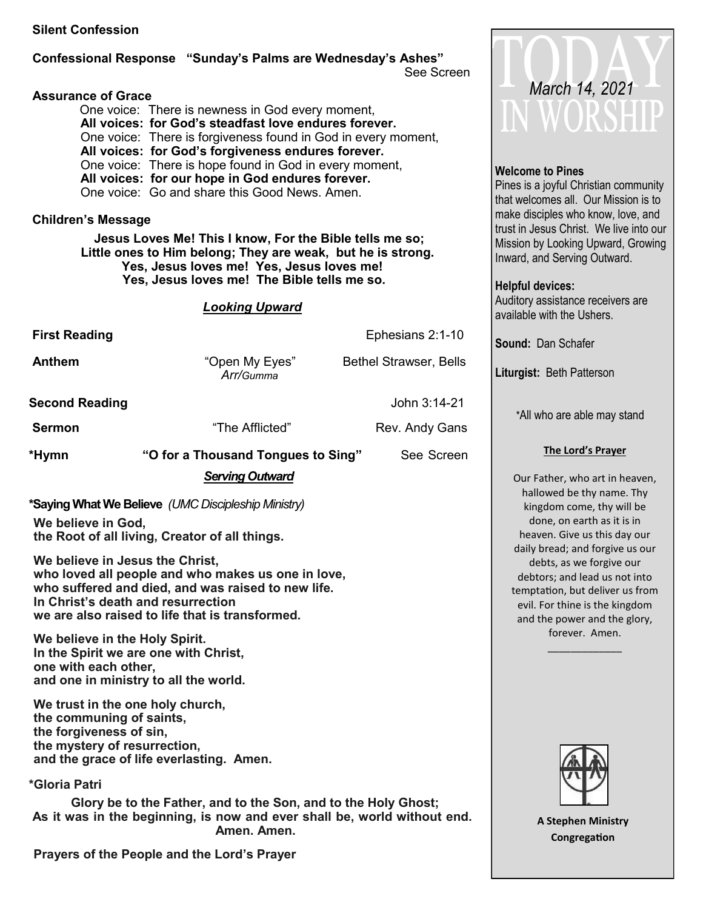#### **Silent Confession**

#### **Confessional Response "Sunday's Palms are Wednesday's Ashes"** See Screen

#### **Assurance of Grace**

One voice: There is newness in God every moment, **All voices: for God's steadfast love endures forever.**  One voice: There is forgiveness found in God in every moment, **All voices: for God's forgiveness endures forever.**  One voice: There is hope found in God in every moment, **All voices: for our hope in God endures forever.**  One voice: Go and share this Good News. Amen.

#### **Children's Message**

 **Jesus Loves Me! This I know, For the Bible tells me so; Little ones to Him belong; They are weak, but he is strong. Yes, Jesus loves me! Yes, Jesus loves me! Yes, Jesus loves me! The Bible tells me so.**

#### *Looking Upward*

| <b>First Reading</b>  |                                                              | Ephesians 2:1-10              |
|-----------------------|--------------------------------------------------------------|-------------------------------|
| <b>Anthem</b>         | "Open My Eyes"<br>Arr/Gumma                                  | <b>Bethel Strawser, Bells</b> |
| <b>Second Reading</b> |                                                              | John 3:14-21                  |
| <b>Sermon</b>         | "The Afflicted"                                              | Rev. Andy Gans                |
| *Hymn                 | "O for a Thousand Tongues to Sing"<br><b>Serving Outward</b> | See Screen                    |
|                       | *Saying What We Believe (UMC Discipleship Ministry)          |                               |

**We believe in God, the Root of all living, Creator of all things.** 

**We believe in Jesus the Christ, who loved all people and who makes us one in love, who suffered and died, and was raised to new life. In Christ's death and resurrection we are also raised to life that is transformed.** 

**We believe in the Holy Spirit. In the Spirit we are one with Christ, one with each other, and one in ministry to all the world.** 

**We trust in the one holy church, the communing of saints, the forgiveness of sin, the mystery of resurrection, and the grace of life everlasting. Amen.**

**\*Gloria Patri** 

 **Glory be to the Father, and to the Son, and to the Holy Ghost; As it was in the beginning, is now and ever shall be, world without end. Amen. Amen.** 

**Prayers of the People and the Lord's Prayer**



#### **Welcome to Pines**

Pines is a joyful Christian community that welcomes all. Our Mission is to make disciples who know, love, and trust in Jesus Christ. We live into our Mission by Looking Upward, Growing Inward, and Serving Outward.

#### **Helpful devices:**

Auditory assistance receivers are available with the Ushers.

**Sound:** Dan Schafer

**Liturgist:** Beth Patterson

\*All who are able may stand

#### **The Lord's Prayer**

Our Father, who art in heaven, hallowed be thy name. Thy kingdom come, thy will be done, on earth as it is in heaven. Give us this day our daily bread; and forgive us our debts, as we forgive our debtors; and lead us not into temptation, but deliver us from evil. For thine is the kingdom and the power and the glory, forever. Amen.

\_\_\_\_\_\_\_\_\_\_\_\_\_



**A Stephen Ministry Congregation**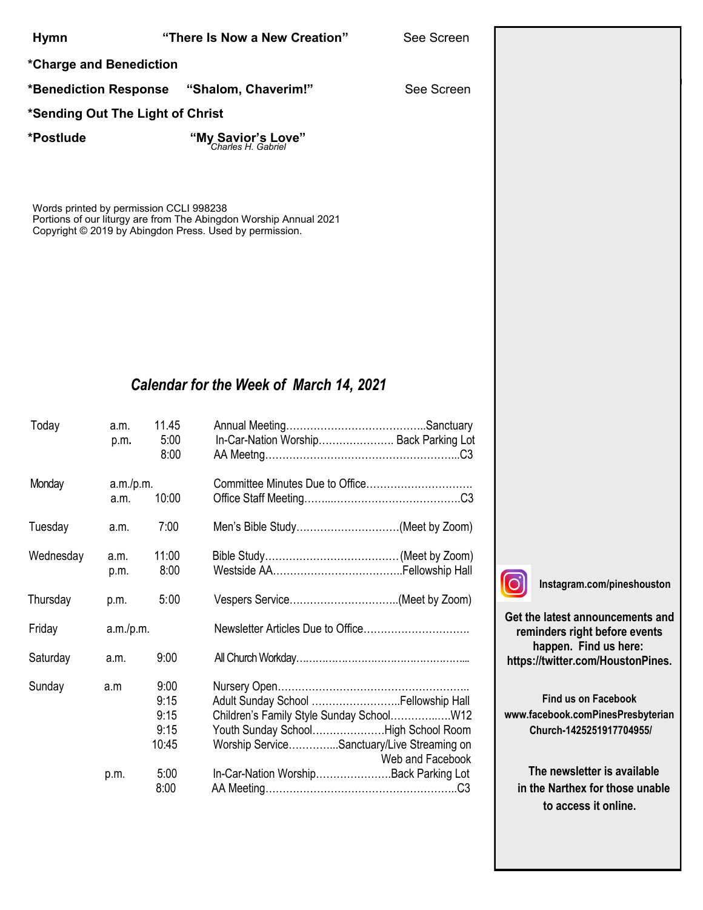#### **Hymn "There Is Now a New Creation"** See Screen

**\*Charge and Benediction**

**\*Benediction Response "Shalom, Chaverim!"** See Screen

#### **\*Sending Out The Light of Christ**

**\*Postlude "My Savior's Love"** *Charles H. Gabriel*

Words printed by permission CCLI 998238 Portions of our liturgy are from The Abingdon Worship Annual 2021 Copyright © 2019 by Abingdon Press. Used by permission.

#### *Calendar for the Week of March 14, 2021*

| Today     | a.m.<br>p.m.      | 11.45<br>5:00<br>8:00                 | In-Car-Nation Worship Back Parking Lot                                                                                                                                 |                  |  |
|-----------|-------------------|---------------------------------------|------------------------------------------------------------------------------------------------------------------------------------------------------------------------|------------------|--|
| Monday    | a.m./p.m.<br>a.m. | 10:00                                 |                                                                                                                                                                        |                  |  |
| Tuesday   | a.m.              | 7:00                                  | Men's Bible Study(Meet by Zoom)                                                                                                                                        |                  |  |
| Wednesday | a.m.<br>p.m.      | 11:00<br>8:00                         |                                                                                                                                                                        |                  |  |
| Thursday  | p.m.              | 5:00                                  |                                                                                                                                                                        |                  |  |
| Friday    | a.m./p.m.         |                                       |                                                                                                                                                                        |                  |  |
| Saturday  | a.m.              | 9:00                                  |                                                                                                                                                                        |                  |  |
| Sunday    | a.m               | 9:00<br>9:15<br>9:15<br>9:15<br>10:45 | Adult Sunday School  Fellowship Hall<br>Children's Family Style Sunday School W12<br>Youth Sunday SchoolHigh School Room<br>Worship ServiceSanctuary/Live Streaming on | Web and Facebook |  |
|           | p.m.              | 5:00<br>8:00                          | In-Car-Nation WorshipBack Parking Lot                                                                                                                                  |                  |  |



**Instagram.com/pineshouston**

**Get the latest announcements and reminders right before events happen. Find us here: https://twitter.com/HoustonPines.** 

Gloria Anderson Morriss Partee Norma Bender Georgette Person Jean Breitenwischer Nancy Robinson Barbara Caffall Virginia Smith

**Find us on Facebook www.facebook.comPinesPresbyterian Church-1425251917704955/**

 **The newsletter is available in the Narthex for those unable to access it online.**

 $\overline{\phantom{a}}$  $\overline{\phantom{a}}$